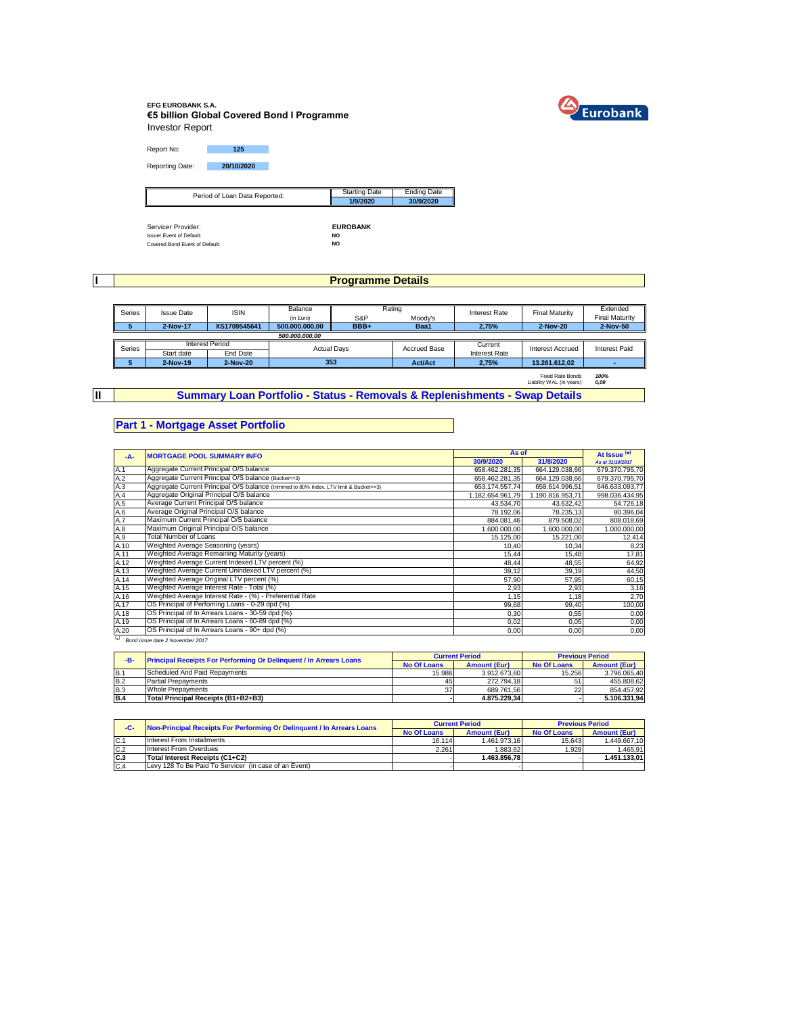

### **EFG EUROBANK S.A. €5 billion Global Covered Bond I Programme** Investor Report

Report No: **125** Reporting Date: **20/10/2020**

| Period of Loan Data Reported:   | <b>Starting Date</b> | <b>Ending Date</b> |
|---------------------------------|----------------------|--------------------|
| ∥                               | 1/9/2020             | 30/9/2020          |
|                                 |                      |                    |
|                                 |                      |                    |
| Servicer Provider:              | <b>EUROBANK</b>      |                    |
| <b>Issuer Event of Default:</b> | <b>NO</b>            |                    |
| Covered Bond Event of Default:  | NO                   |                    |

**I**

# **Programme Details**

| Series | <b>Issue Date</b> | <b>ISIN</b>     |                    | Rating<br>Balance     |                     | <b>Interest Rate</b> | <b>Final Maturity</b>                               | Extended              |
|--------|-------------------|-----------------|--------------------|-----------------------|---------------------|----------------------|-----------------------------------------------------|-----------------------|
|        |                   |                 | (in Euro)          | S&P                   | Moodv's             |                      |                                                     | <b>Final Maturity</b> |
|        | 2-Nov-17          | XS1709545641    | 500.000.000.00     | BBB+                  | Baa1                | 2,75%                | 2-Nov-20                                            | 2-Nov-50              |
|        | 500.000.000.00    |                 |                    |                       |                     |                      |                                                     |                       |
| Series |                   | Interest Period | <b>Actual Days</b> |                       | <b>Accrued Base</b> | Current              | <b>Interest Accrued</b>                             | Interest Paid         |
|        | Start date        | End Date        |                    |                       |                     | Interest Rate        |                                                     |                       |
|        | 2-Nov-19          | 2-Nov-20        |                    | 353<br><b>Act/Act</b> |                     | 2.75%                | 13.261.612.02                                       |                       |
|        |                   |                 |                    |                       |                     |                      | <b>Fixed Rate Bonds</b><br>Liability WAL (in years) | 100%<br>0.09          |

**II**

**Summary Loan Portfolio - Status - Removals & Replenishments - Swap Details**

## **Part 1 - Mortgage Asset Portfolio**

| $-A-$      | <b>MORTGAGE POOL SUMMARY INFO</b>                                                       |                  | As of            |                  |  |
|------------|-----------------------------------------------------------------------------------------|------------------|------------------|------------------|--|
|            |                                                                                         |                  | 31/8/2020        | As at 31/10/2017 |  |
| A.1        | Aggregate Current Principal O/S balance                                                 | 658.462.281,35   | 664.129.038,66   | 679.370.795,70   |  |
| A.2<br>A.3 | Aggregate Current Principal O/S balance (Bucket<=3)                                     | 658.462.281.35   | 664.129.038.66   | 679.370.795.70   |  |
|            | Aggregate Current Principal O/S balance (trimmed to 80% Index. LTV limit & Bucket <= 3) | 653.174.557,74   | 658.614.996,51   | 646.633.093,77   |  |
| A.4        | Aggregate Original Principal O/S balance                                                | 1.182.654.961.79 | 1.190.816.953.71 | 998.036.434,95   |  |
| A.5        | Average Current Principal O/S balance                                                   | 43.534,70        | 43.632,42        | 54.726,18        |  |
| A.6<br>A.7 | Average Original Principal O/S balance                                                  | 78.192,06        | 78.235,13        | 80.396,04        |  |
|            | Maximum Current Principal O/S balance                                                   | 884.081,46       | 879.508,02       | 808.018,69       |  |
| A.8        | Maximum Original Principal O/S balance                                                  | 1.600.000,00     | 1.600.000,00     | 1.000.000,00     |  |
| A.9        | Total Number of Loans                                                                   | 15.125,00        | 15.221,00        | 12.414           |  |
| A.10       | Weighted Average Seasoning (years)                                                      | 10,40            | 10.34            | 8,23             |  |
| A.11       | Weighted Average Remaining Maturity (years)                                             | 15,44            | 15,48            | 17,81            |  |
| A.12       | Weighted Average Current Indexed LTV percent (%)                                        | 48,44            | 48,55            | 64,92            |  |
| A.13       | Weighted Average Current Unindexed LTV percent (%)                                      | 39,12            | 39,19            | 44,50            |  |
| A.14       | Weighted Average Original LTV percent (%)                                               | 57,90            | 57,95            | 60,15            |  |
| A.15       | Weighted Average Interest Rate - Total (%)                                              | 2,93             | 2,93             | 3,16             |  |
| A.16       | Weighted Average Interest Rate - (%) - Preferential Rate                                | 1,15             | 1,18             | 2,70             |  |
| A.17       | OS Principal of Perfoming Loans - 0-29 dpd (%)                                          | 99,68            | 99,40            | 100,00           |  |
| A.18       | OS Principal of In Arrears Loans - 30-59 dpd (%)                                        | 0,30             | 0,55             | 0,00             |  |
| A.19       | OS Principal of In Arrears Loans - 60-89 dpd (%)                                        | 0.02             | 0.05             | 0,00             |  |
| A.20       | OS Principal of In Arrears Loans - 90+ dpd (%)                                          | 0,00             | 0,00             | 0,00             |  |
| $(\star)$  | Bond issue date 2 November 2017                                                         |                  |                  |                  |  |

| -B-        | <b>Principal Receipts For Performing Or Delinquent / In Arrears Loans</b> |                    | <b>Current Period</b> | <b>Previous Period</b> |                     |
|------------|---------------------------------------------------------------------------|--------------------|-----------------------|------------------------|---------------------|
|            |                                                                           | <b>No Of Loans</b> | <b>Amount (Eur)</b>   | <b>No Of Loans</b>     | <b>Amount (Eur)</b> |
| B.1        | Scheduled And Paid Repayments                                             | 15.986             | 3.912.673.60          | 15.256                 | 3.796.065.40        |
| <b>B.2</b> | <b>Partial Prepayments</b>                                                | 45                 | 272.794.18            | 51                     | 455.808.62          |
| <b>B.3</b> | <b>Whole Prepayments</b>                                                  | 37                 | 689.761.56            | 22                     | 854.457.92          |
| <b>B.4</b> | Total Principal Receipts (B1+B2+B3)                                       |                    | 4.875.229.34          |                        | 5.106.331.94        |

| Non-Principal Receipts For Performing Or Delinquent / In Arrears Loans<br>$-C-$ |                                                       |        | <b>Current Period</b> | <b>Previous Period</b> |                     |  |
|---------------------------------------------------------------------------------|-------------------------------------------------------|--------|-----------------------|------------------------|---------------------|--|
|                                                                                 |                                                       |        | <b>Amount (Eur)</b>   | <b>No Of Loans</b>     | <b>Amount (Eur)</b> |  |
| $C$ .                                                                           | Interest From Installments                            | 16.114 | 1.461.973.16          | 15.643                 | 1.449.667.10        |  |
| C.2                                                                             | Interest From Overdues                                | 2.261  | 1.883.62              | 1.929                  | 1.465.91            |  |
| C <sub>3</sub>                                                                  | Total Interest Receipts (C1+C2)                       |        | 1.463.856.78          |                        | 1.451.133.01        |  |
| C.4                                                                             | Levy 128 To Be Paid To Servicer (in case of an Event) |        |                       |                        |                     |  |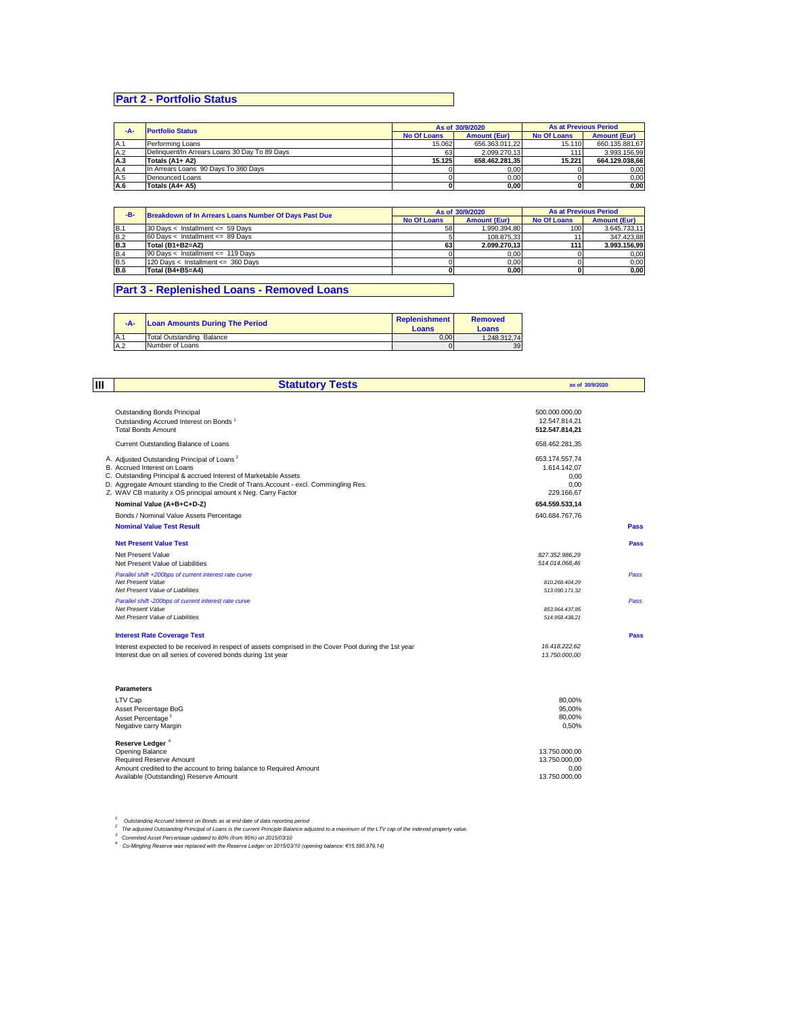# **Part 2 - Portfolio Status**

| -A- | <b>Portfolio Status</b>                       |                    | As of 30/9/2020     | <b>As at Previous Period</b> |                     |
|-----|-----------------------------------------------|--------------------|---------------------|------------------------------|---------------------|
|     |                                               | <b>No Of Loans</b> | <b>Amount (Eur)</b> | <b>No Of Loans</b>           | <b>Amount (Eur)</b> |
| A.1 | Performing Loans                              | 15.062             | 656.363.011.22      | 15.110                       | 660.135.881.67      |
| A.2 | Delinguent/In Arrears Loans 30 Day To 89 Days | 63                 | 2.099.270.13        |                              | 3.993.156.99        |
| A.3 | Totals (A1+ A2)                               | 15.125             | 658.462.281.35      | 15.221                       | 664.129.038.66      |
| A.4 | In Arrears Loans 90 Days To 360 Days          |                    | 0,00                |                              | 0,00                |
| A.5 | Denounced Loans                               |                    | 0,00                |                              | 0,00                |
| A.6 | Totals (A4+ A5)                               |                    | 0,00                |                              | 0,00                |

| -B-        | <b>Breakdown of In Arrears Loans Number Of Days Past Due</b> |    | As of 30/9/2020     | <b>As at Previous Period</b> |                     |  |
|------------|--------------------------------------------------------------|----|---------------------|------------------------------|---------------------|--|
|            |                                                              |    | <b>Amount (Eur)</b> | <b>No Of Loans</b>           | <b>Amount (Eur)</b> |  |
| B.1        | 30 Days < Installment $\leq$ 59 Days                         | 58 | 1.990.394.80        | 1001                         | 3.645.733.11        |  |
| <b>B.2</b> | $60$ Davs < Installment <= 89 Davs                           |    | 108.875.33          |                              | 347.423.88          |  |
| <b>B.3</b> | Total (B1+B2=A2)                                             | 63 | 2.099.270.13        | 111                          | 3.993.156.99        |  |
| <b>B.4</b> | 90 Days < Installment <= 119 Days                            |    | 0.00                |                              | 0.00                |  |
| <b>B.5</b> | 120 Days < Installment <= 360 Days                           |    | 0.00                |                              | 0.00                |  |
| <b>B.6</b> | Total (B4+B5=A4)                                             |    | 0.00                |                              | 0.00                |  |

## **Part 3 - Replenished Loans - Removed Loans**

| -A- | <b>Loan Amounts During The Period</b> | Replenishment<br>Loans | <b>Removed</b><br>Loans |
|-----|---------------------------------------|------------------------|-------------------------|
| A.1 | Total Outstanding Balance             | 0.00                   | 1.248.312.74            |
| A.2 | Number of Loans                       | $\Omega$               | 39                      |

| lш | <b>Statutory Tests</b>                                                                                                                                                                                                                                                                                               |                                                              | as of 30/9/2020 |  |
|----|----------------------------------------------------------------------------------------------------------------------------------------------------------------------------------------------------------------------------------------------------------------------------------------------------------------------|--------------------------------------------------------------|-----------------|--|
|    | <b>Outstanding Bonds Principal</b><br>Outstanding Accrued Interest on Bonds <sup>1</sup><br><b>Total Bonds Amount</b>                                                                                                                                                                                                | 500.000.000.00<br>12.547.814,21<br>512.547.814,21            |                 |  |
|    | Current Outstanding Balance of Loans                                                                                                                                                                                                                                                                                 | 658.462.281,35                                               |                 |  |
|    | A. Adjusted Outstanding Principal of Loans <sup>2</sup><br>B. Accrued Interest on Loans<br>C. Outstanding Principal & accrued Interest of Marketable Assets<br>D. Aggregate Amount standing to the Credit of Trans. Account - excl. Commingling Res.<br>Z. WAV CB maturity x OS principal amount x Neg. Carry Factor | 653.174.557,74<br>1.614.142.07<br>0,00<br>0,00<br>229.166.67 |                 |  |
|    | Nominal Value (A+B+C+D-Z)                                                                                                                                                                                                                                                                                            | 654.559.533.14                                               |                 |  |
|    | Bonds / Nominal Value Assets Percentage                                                                                                                                                                                                                                                                              | 640.684.767,76                                               |                 |  |
|    | <b>Nominal Value Test Result</b>                                                                                                                                                                                                                                                                                     |                                                              | Pass            |  |
|    | <b>Net Present Value Test</b>                                                                                                                                                                                                                                                                                        |                                                              | Pass            |  |
|    | Net Present Value<br>Net Present Value of Liabilities                                                                                                                                                                                                                                                                | 827.352.986.29<br>514.014.068.46                             |                 |  |
|    | Parallel shift +200bps of current interest rate curve<br>Net Present Value<br>Net Present Value of Liabilities                                                                                                                                                                                                       | 810.268.404,29<br>513.090.171,32                             | Pass            |  |
|    | Parallel shift -200bps of current interest rate curve<br>Net Present Value<br>Net Present Value of Liabilities                                                                                                                                                                                                       | 853.964.437.85<br>514.958.438.21                             | Pass            |  |
|    | <b>Interest Rate Coverage Test</b>                                                                                                                                                                                                                                                                                   |                                                              | Pass            |  |
|    | Interest expected to be received in respect of assets comprised in the Cover Pool during the 1st year<br>Interest due on all series of covered bonds during 1st year                                                                                                                                                 | 16.418.222,62<br>13.750.000.00                               |                 |  |
|    | <b>Parameters</b>                                                                                                                                                                                                                                                                                                    |                                                              |                 |  |
|    | LTV Cap<br>Asset Percentage BoG                                                                                                                                                                                                                                                                                      | 80.00%<br>95.00%                                             |                 |  |
|    | Asset Percentage <sup>3</sup><br>Negative carry Margin                                                                                                                                                                                                                                                               | 80.00%<br>0.50%                                              |                 |  |
|    | Reserve Ledger <sup>4</sup><br>Opening Balance<br>Required Reserve Amount                                                                                                                                                                                                                                            | 13.750.000.00<br>13.750.000,00                               |                 |  |
|    | Amount credited to the account to bring balance to Required Amount<br>Available (Outstanding) Reserve Amount                                                                                                                                                                                                         | 0.00<br>13.750.000.00                                        |                 |  |

<sup>1</sup> Outstanding Accrued Interest on Bonds as at end date of data reporting period<br><sup>2</sup> The adjusted Outstanding Principal of Loans is the current Principle Balance adjusted to a maximum of the LTV cap of the indexed propert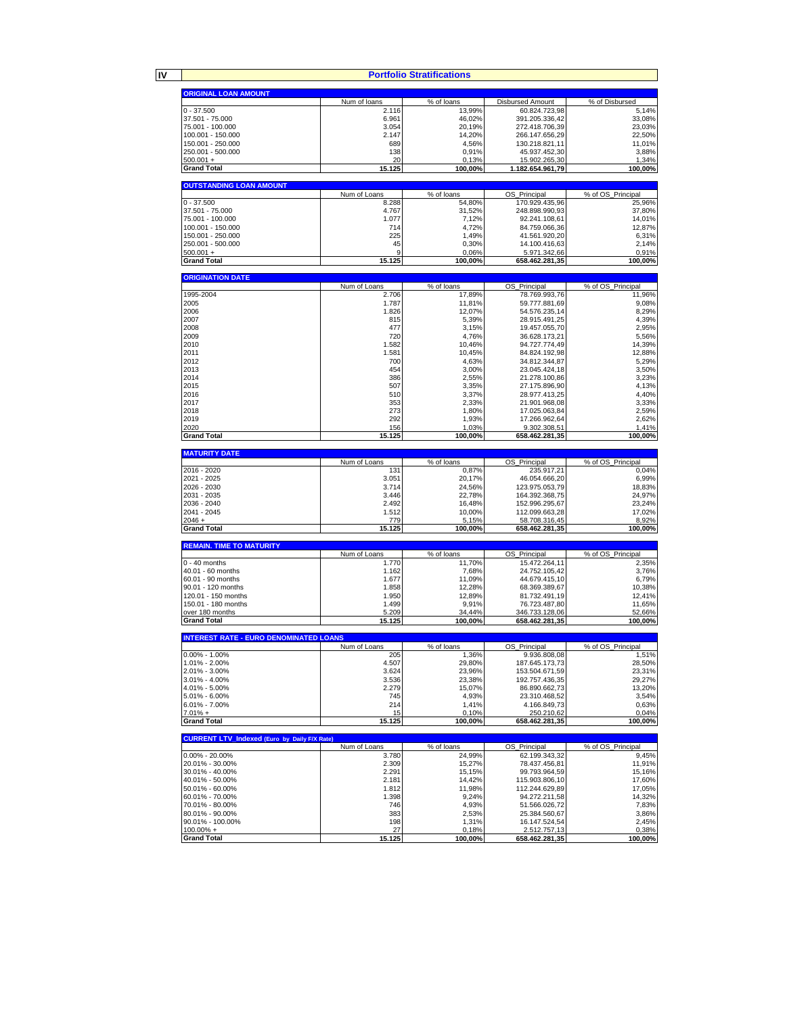**IV**

**Portfolio Stratifications**

| <b>Portfolio Stratifications</b>                    |                |                  |                                 |                   |  |  |
|-----------------------------------------------------|----------------|------------------|---------------------------------|-------------------|--|--|
| <b>ORIGINAL LOAN AMOUNT</b>                         |                |                  |                                 |                   |  |  |
|                                                     | Num of loans   | % of loans       | <b>Disbursed Amount</b>         | % of Disbursed    |  |  |
| $0 - 37.500$                                        | 2.116          | 13,99%           | 60.824.723,98                   | 5,14%             |  |  |
| 37.501 - 75.000                                     | 6.961          | 46.02%           | 391.205.336,42                  | 33.08%            |  |  |
| 75.001 - 100.000                                    | 3.054          | 20,19%           | 272.418.706,39                  | 23,03%            |  |  |
| 100.001 - 150.000                                   | 2.147          | 14,20%           | 266.147.656,29                  | 22,50%            |  |  |
| 150.001 - 250.000                                   | 689            | 4,56%            | 130.218.821,11                  | 11,01%            |  |  |
| 250.001 - 500.000<br>$500.001 +$                    | 138<br>20      | 0,91%            | 45.937.452,30<br>15.902.265,30  | 3,88%<br>1,34%    |  |  |
| <b>Grand Total</b>                                  | 15.125         | 0,13%<br>100,00% | 1.182.654.961,79                | 100,00%           |  |  |
|                                                     |                |                  |                                 |                   |  |  |
| <b>OUTSTANDING LOAN AMOUNT</b>                      |                |                  |                                 |                   |  |  |
|                                                     | Num of Loans   | % of loans       | OS_Principal                    | % of OS_Principal |  |  |
| $0 - 37.500$                                        | 8.288          | 54,80%           | 170.929.435,96                  | 25,96%            |  |  |
| 37.501 - 75.000                                     | 4.767          | 31,52%           | 248.898.990,93                  | 37.80%            |  |  |
| 75.001 - 100.000                                    | 1.077          | 7,12%            | 92.241.108,61                   | 14,01%            |  |  |
| 100.001 - 150.000<br>150.001 - 250.000              | 714<br>225     | 4,72%<br>1,49%   | 84.759.066,36<br>41.561.920,20  | 12,87%<br>6,31%   |  |  |
| 250.001 - 500.000                                   | 45             | 0,30%            | 14.100.416,63                   | 2,14%             |  |  |
| $500.001 +$                                         | 9              | 0,06%            | 5.971.342,66                    | 0,91%             |  |  |
| <b>Grand Total</b>                                  | 15.125         | 100,00%          | 658.462.281,35                  | 100,00%           |  |  |
|                                                     |                |                  |                                 |                   |  |  |
| <b>ORIGINATION DATE</b>                             |                |                  |                                 |                   |  |  |
|                                                     | Num of Loans   | % of loans       | OS_Principal                    | % of OS_Principal |  |  |
| 1995-2004                                           | 2.706          | 17,89%           | 78.769.993,76                   | 11,96%            |  |  |
| 2005<br>2006                                        | 1.787<br>1.826 | 11,81%<br>12,07% | 59.777.881,69<br>54.576.235,14  | 9,08%<br>8,29%    |  |  |
| 2007                                                | 815            | 5,39%            | 28.915.491,25                   | 4,39%             |  |  |
| 2008                                                | 477            | 3,15%            | 19.457.055,70                   | 2,95%             |  |  |
| 2009                                                | 720            | 4,76%            | 36.628.173,21                   | 5,56%             |  |  |
| 2010                                                | 1.582          | 10,46%           | 94.727.774,49                   | 14,39%            |  |  |
| 2011                                                | 1.581          | 10,45%           | 84.824.192,98                   | 12,88%            |  |  |
| 2012                                                | 700            | 4,63%            | 34.812.344,87                   | 5,29%             |  |  |
| 2013                                                | 454            | 3,00%            | 23.045.424,18                   | 3,50%             |  |  |
| 2014                                                | 386            | 2,55%            | 21.278.100,86                   | 3,23%             |  |  |
| 2015                                                | 507            | 3,35%            | 27.175.896,90                   | 4,13%             |  |  |
| 2016<br>2017                                        | 510<br>353     | 3,37%<br>2,33%   | 28.977.413,25<br>21.901.968,08  | 4,40%<br>3,33%    |  |  |
| 2018                                                | 273            | 1,80%            | 17.025.063,84                   | 2,59%             |  |  |
| 2019                                                | 292            | 1,93%            | 17.266.962,64                   | 2,62%             |  |  |
| 2020                                                | 156            | 1,03%            | 9.302.308,51                    | 1,41%             |  |  |
| <b>Grand Total</b>                                  | 15.125         | 100.00%          | 658.462.281,35                  | 100,00%           |  |  |
|                                                     |                |                  |                                 |                   |  |  |
| <b>MATURITY DATE</b>                                |                |                  |                                 |                   |  |  |
|                                                     | Num of Loans   | % of loans       | OS_Principal                    | % of OS_Principal |  |  |
| 2016 - 2020<br>2021 - 2025                          | 131<br>3.051   | 0,87%<br>20,17%  | 235.917,21<br>46.054.666,20     | 0,04%<br>6,99%    |  |  |
| 2026 - 2030                                         | 3.714          | 24,56%           | 123.975.053,79                  | 18,83%            |  |  |
| 2031 - 2035                                         | 3.446          | 22,78%           | 164.392.368,75                  | 24,97%            |  |  |
| 2036 - 2040                                         | 2.492          | 16,48%           | 152.996.295,67                  | 23,24%            |  |  |
| 2041 - 2045                                         | 1.512          | 10,00%           | 112.099.663,28                  | 17,02%            |  |  |
| $2046 +$                                            | 779            | 5,15%            | 58.708.316,45                   | 8,92%             |  |  |
| <b>Grand Total</b>                                  | 15.125         | 100,00%          | 658.462.281,35                  | 100,00%           |  |  |
| <b>REMAIN. TIME TO MATURITY</b>                     |                |                  |                                 |                   |  |  |
|                                                     | Num of Loans   | % of loans       | OS_Principal                    | % of OS_Principal |  |  |
| $0 - 40$ months                                     | 1.770          | 11,70%           | 15.472.264,11                   | 2,35%             |  |  |
| 40.01 - 60 months                                   | 1.162          | 7,68%            | 24.752.105,42                   | 3,76%             |  |  |
| 60.01 - 90 months                                   | 1.677          | 11,09%           | 44.679.415.10                   | 6,79%             |  |  |
| 90.01 - 120 months                                  | 1.858          | 12,28%           | 68.369.389,67                   | 10,38%            |  |  |
| 120.01 - 150 months                                 | 1.950          | 12,89%           | 81.732.491,19                   | 12,41%            |  |  |
| 150.01 - 180 months<br>over 180 months              | 1.499<br>5.209 | 9,91%<br>34.44%  | 76.723.487,80<br>346.733.128,06 | 11,65%<br>52,66%  |  |  |
| <b>Grand Total</b>                                  | 15.125         | 100,00%          | 658.462.281,35                  | 100,00%           |  |  |
|                                                     |                |                  |                                 |                   |  |  |
| <b>INTEREST RATE - EURO DENOMINATED LOANS</b>       |                |                  |                                 |                   |  |  |
|                                                     | Num of Loans   | % of loans       | OS Principal                    | % of OS Principal |  |  |
| $0.00\% - 1.00\%$                                   | 205            | 1,36%            | 9.936.808,08                    | 1,51%             |  |  |
|                                                     |                |                  |                                 | 28,50%            |  |  |
| 1.01% - 2.00%                                       | 4.507          | 29,80%           | 187.645.173,73                  |                   |  |  |
| 2.01% - 3.00%                                       | 3.624          | 23,96%           | 153.504.671.59                  | 23,31%            |  |  |
| $3.01\% - 4.00\%$                                   | 3.536          | 23,38%           | 192.757.436,35                  | 29,27%            |  |  |
| 4.01% - 5.00%                                       | 2.279          | 15,07%           | 86.890.662,73                   | 13,20%            |  |  |
| 5.01% - 6.00%                                       | 745            | 4,93%            | 23.310.468,52                   | 3,54%             |  |  |
| 6.01% - 7.00%<br>$7.01% +$                          | 214<br>15      | 1,41%<br>0,10%   | 4.166.849,73<br>250.210,62      | 0,63%<br>0,04%    |  |  |
| <b>Grand Total</b>                                  | 15.125         | 100,00%          | 658.462.281,35                  | 100,00%           |  |  |
|                                                     |                |                  |                                 |                   |  |  |
| <b>CURRENT LTV_Indexed (Euro by Daily F/X Rate)</b> |                |                  |                                 |                   |  |  |
|                                                     | Num of Loans   | % of loans       | OS Principal                    | % of OS Principal |  |  |
| $0.00\% - 20.00\%$                                  | 3.780          | 24,99%           | 62.199.343,32                   | 9,45%             |  |  |
| 20.01% - 30.00%<br>30.01% - 40.00%                  | 2.309<br>2.291 | 15,27%<br>15,15% | 78.437.456,81<br>99.793.964,59  | 11,91%<br>15.16%  |  |  |
| 40.01% - 50.00%                                     | 2.181          | 14,42%           | 115.903.806,10                  | 17,60%            |  |  |
| 50.01% - 60.00%                                     | 1.812          | 11,98%           | 112.244.629,89                  | 17,05%            |  |  |
| 60.01% - 70.00%                                     | 1.398          | 9,24%            | 94.272.211,58                   | 14,32%            |  |  |
| 70.01% - 80.00%                                     | 746            | 4,93%            | 51.566.026,72                   | 7,83%             |  |  |
| 80.01% - 90.00%                                     | 383            | 2,53%            | 25.384.560,67                   | 3,86%             |  |  |
| 90.01% - 100.00%<br>$100.00\% +$                    | 198<br>27      | 1,31%<br>0,18%   | 16.147.524,54<br>2.512.757,13   | 2,45%<br>0,38%    |  |  |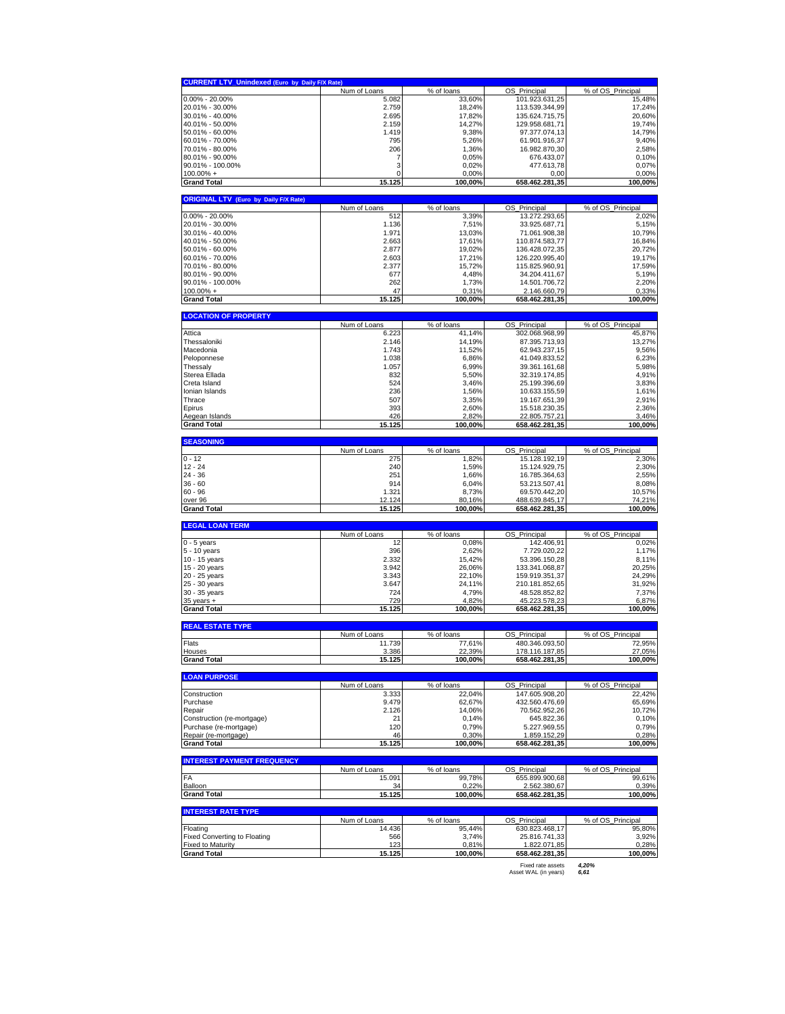| <b>CURRENT LTV_Unindexed (Euro by Daily F/X Rate)</b>                            |                 |                  |                                  |                   |
|----------------------------------------------------------------------------------|-----------------|------------------|----------------------------------|-------------------|
|                                                                                  | Num of Loans    | % of loans       | OS Principal                     | % of OS Principal |
| $0.00\% - 20.00\%$                                                               | 5.082           | 33,60%           | 101.923.631,25                   | 15,48%            |
| 20.01% - 30.00%<br>30.01% - 40.00%                                               | 2.759<br>2.695  | 18,24%<br>17,82% | 113.539.344,99<br>135.624.715,75 | 17,24%<br>20,60%  |
| 40.01% - 50.00%                                                                  | 2.159           | 14,27%           | 129.958.681,71                   | 19,74%            |
| 50.01% - 60.00%                                                                  | 1.419           | 9,38%            | 97.377.074,13                    | 14,79%            |
| 60.01% - 70.00%                                                                  | 795             | 5,26%            | 61.901.916,37                    | 9,40%             |
| 70.01% - 80.00%                                                                  | 206             | 1,36%            | 16.982.870,30                    | 2,58%             |
| 80.01% - 90.00%                                                                  | 7               | 0,05%            | 676.433,07                       | 0,10%             |
| 90.01% - 100.00%                                                                 | 3               | 0,02%            | 477.613,78                       | 0,07%             |
| $100.00\% +$                                                                     | 0               | 0,00%            | 0,00                             | 0,00%             |
| <b>Grand Total</b>                                                               | 15.125          | 100,00%          | 658.462.281,35                   | 100,00%           |
| <b>ORIGINAL LTV (Euro by Daily F/X Rate)</b>                                     |                 |                  |                                  |                   |
|                                                                                  | Num of Loans    | % of loans       | OS_Principal                     | % of OS_Principal |
| $0.00\% - 20.00\%$                                                               | 512             | 3,39%            | 13.272.293,65                    | 2,02%             |
| 20.01% - 30.00%                                                                  | 1.136           | 7,51%            | 33.925.687,71                    | 5,15%             |
| 30.01% - 40.00%                                                                  | 1.971           | 13,03%           | 71.061.908,38                    | 10,79%            |
| 40.01% - 50.00%<br>50.01% - 60.00%                                               | 2.663<br>2.877  | 17,61%<br>19,02% | 110.874.583,77<br>136.428.072,35 | 16,84%<br>20,72%  |
| 60.01% - 70.00%                                                                  | 2.603           | 17,21%           | 126.220.995,40                   | 19,17%            |
| 70.01% - 80.00%                                                                  | 2.377           | 15,72%           | 115.825.960,91                   | 17,59%            |
| 80.01% - 90.00%                                                                  | 677             | 4,48%            | 34.204.411,67                    | 5,19%             |
| 90.01% - 100.00%                                                                 | 262             | 1,73%            | 14.501.706,72                    | 2,20%             |
| $100.00\% +$                                                                     | 47              | 0,31%            | 2.146.660,79                     | 0,33%             |
| <b>Grand Total</b>                                                               | 15.125          | 100,00%          | 658.462.281,35                   | 100,00%           |
| <b>LOCATION OF PROPERTY</b>                                                      |                 |                  |                                  |                   |
|                                                                                  | Num of Loans    | % of loans       | OS Principal                     | % of OS_Principal |
| Attica                                                                           | 6.223           | 41.14%           | 302.068.968,99                   | 45,87%            |
| Thessaloniki                                                                     | 2.146           | 14,19%           | 87.395.713,93                    | 13,27%            |
| Macedonia<br>Peloponnese                                                         | 1.743<br>1.038  | 11,52%<br>6,86%  | 62.943.237,15<br>41.049.833,52   | 9,56%<br>6,23%    |
| Thessaly                                                                         | 1.057           | 6,99%            | 39.361.161,68                    | 5,98%             |
| Sterea Ellada                                                                    | 832             | 5,50%            | 32.319.174,85                    | 4,91%             |
| Creta Island                                                                     | 524             | 3,46%            | 25.199.396,69                    | 3,83%             |
| Ionian Islands                                                                   | 236             | 1,56%            | 10.633.155,59                    | 1,61%             |
| Thrace                                                                           | 507             | 3,35%            | 19.167.651,39                    | 2,91%             |
| Epirus                                                                           | 393             | 2,60%            | 15.518.230,35                    | 2,36%             |
| Aegean Islands                                                                   | 426             | 2,82%            | 22.805.757,21                    | 3,46%             |
| <b>Grand Total</b>                                                               | 15.125          | 100,00%          | 658.462.281,35                   | 100,00%           |
| <b>SEASONING</b>                                                                 |                 |                  |                                  |                   |
|                                                                                  | Num of Loans    | % of loans       | OS Principal                     | % of OS_Principal |
| 0 - 12<br>12 - 24                                                                | 275<br>240      | 1,82%<br>1,59%   | 15.128.192,19<br>15.124.929,75   | 2,30%<br>2,30%    |
| 24 - 36                                                                          | 251             | 1,66%            | 16.785.364,63                    | 2,55%             |
|                                                                                  |                 |                  |                                  |                   |
|                                                                                  |                 |                  |                                  |                   |
|                                                                                  | 914             | 6,04%            | 53.213.507,41                    | 8,08%             |
| 36 - 60<br>60 - 96<br>over 96                                                    | 1.321<br>12.124 | 8,73%<br>80,16%  | 69.570.442,20<br>488.639.845,17  | 10,57%<br>74,21%  |
|                                                                                  | 15.125          | 100,00%          | 658.462.281,35                   | 100,00%           |
|                                                                                  |                 |                  |                                  |                   |
| <b>Grand Total</b><br><b>LEGAL LOAN TERM</b>                                     | Num of Loans    | % of loans       | OS_Principal                     | % of OS_Principal |
|                                                                                  | 12              | 0,08%            | 142.406,91                       | 0,02%             |
|                                                                                  | 396             | 2,62%            | 7.729.020,22                     | 1,17%             |
|                                                                                  | 2.332           | 15,42%           | 53.396.150,28                    | 8,11%             |
|                                                                                  | 3.942           | 26,06%           | 133.341.068,87                   | 20,25%            |
| $0 - 5$ years<br>5 - 10 years<br>10 - 15 years<br>15 - 20 years<br>20 - 25 years | 3.343           | 22,10%           | 159.919.351,37                   | 24,29%            |
| 25 - 30 years                                                                    | 3.647           | 24,11%           | 210.181.852,65                   | 31,92%            |
| 30 - 35 years                                                                    | 724             | 4,79%            | 48.528.852,82                    | 7,37%             |
| $35$ years $+$<br><b>Grand Total</b>                                             | 729<br>15.125   | 4,82%<br>100,00% | 45.223.578,23<br>658.462.281,35  | 6,87%<br>100,00%  |
|                                                                                  |                 |                  |                                  |                   |
| <b>REAL ESTATE TYPE</b>                                                          | Num of Loans    | % of loans       | OS Principal                     | % of OS Principal |
| Flats                                                                            | 11.739          | 77,61%           | 480.346.093,50                   | 72,95%            |
| Hous                                                                             | 3.386           | 22.39%           | 178.116.187,85                   | 27,05%            |
|                                                                                  | 15.125          | 100,00%          | 658.462.281,35                   | 100,00%           |
| <b>Grand Total</b><br><b>LOAN PURPOSE</b>                                        |                 |                  |                                  |                   |
|                                                                                  | Num of Loans    | % of loans       | OS_Principal                     | % of OS_Principal |
|                                                                                  | 3.333           | 22,04%           | 147.605.908,20                   | 22,42%            |
|                                                                                  | 9.479           | 62,67%           | 432.560.476,69                   | 65,69%            |
|                                                                                  | 2.126           | 14,06%           | 70.562.952,26                    | 10,72%            |
| Construction<br>Purchase<br>Repair<br>Construction (re-mortgage)                 | 21              | 0,14%            | 645.822,36                       | 0,10%             |
| Purchase (re-mortgage)                                                           | 120             | 0,79%            | 5.227.969,55                     | 0,79%             |
| Repair (re-mortgage)<br>Grand Total                                              | 46<br>15.125    | 0,30%<br>100,00% | 1.859.152,29<br>658.462.281,35   | 0,28%<br>100,00%  |
|                                                                                  |                 |                  |                                  |                   |
|                                                                                  | Num of Loans    | % of loans       | OS_Principal                     | % of OS_Principal |
| <b>INTEREST PAYMENT FREQUENCY</b><br>FA                                          | 15.091          | 99,78%           | 655.899.900,68                   | 99,61%            |
| Balloon                                                                          | 34              | 0.22%            | 2.562.380,67                     | 0.39%             |
|                                                                                  | 15.125          | 100,00%          | 658.462.281,35                   | 100,00%           |
| <b>Grand Total</b><br><b>INTEREST RATE TYPE</b>                                  |                 |                  |                                  |                   |
|                                                                                  | Num of Loans    | % of loans       | OS Principal                     | % of OS Principal |
| Floating                                                                         | 14.436          | 95,44%           | 630.823.468,17                   | 95,80%            |
| <b>Fixed Converting to Floating</b><br><b>Fixed to Maturity</b>                  | 566<br>123      | 3,74%<br>0,81%   | 25.816.741,33<br>1.822.071,85    | 3,92%<br>0,28%    |
| <b>Grand Total</b>                                                               | 15.125          | 100,00%          | 658.462.281,35                   | 100,00%           |

Fixed rate assets *4,20%* Asset WAL (in years) *6,61*